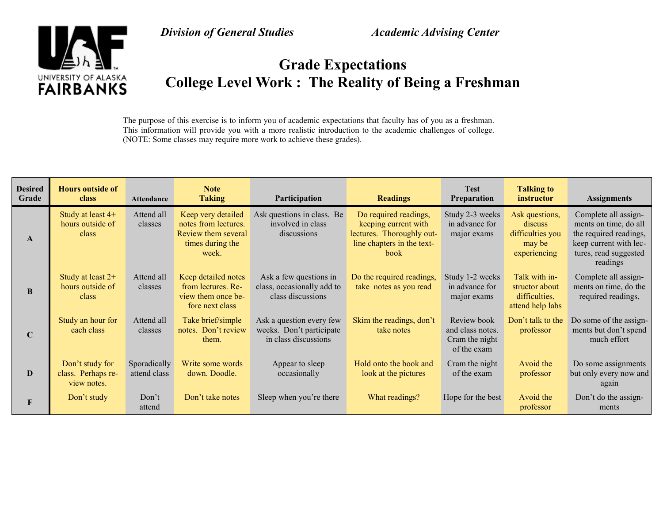

**Division of General Studies** Academic Advising Center

## **Grade Expectations College Level Work : The Reality of Being a Freshman**

The purpose of this exercise is to inform you of academic expectations that faculty has of you as a freshman. This information will provide you with a more realistic introduction to the academic challenges of college. (NOTE: Some classes may require more work to achieve these grades).

| <b>Desired</b><br>Grade | <b>Hours outside of</b><br>class                     | <b>Attendance</b>            | <b>Note</b><br><b>Taking</b>                                                                   | Participation                                                                | <b>Readings</b>                                                                                                  | <b>Test</b><br>Preparation                                       | <b>Talking to</b><br>instructor                                         | <b>Assignments</b>                                                                                                                     |
|-------------------------|------------------------------------------------------|------------------------------|------------------------------------------------------------------------------------------------|------------------------------------------------------------------------------|------------------------------------------------------------------------------------------------------------------|------------------------------------------------------------------|-------------------------------------------------------------------------|----------------------------------------------------------------------------------------------------------------------------------------|
| $\mathbf{A}$            | Study at least 4+<br>hours outside of<br>class       | Attend all<br>classes        | Keep very detailed<br>notes from lectures.<br>Review them several<br>times during the<br>week. | Ask questions in class. Be<br>involved in class<br>discussions               | Do required readings,<br>keeping current with<br>lectures. Thoroughly out-<br>line chapters in the text-<br>book | Study 2-3 weeks<br>in advance for<br>major exams                 | Ask questions,<br>discuss<br>difficulties you<br>may be<br>experiencing | Complete all assign-<br>ments on time, do all<br>the required readings,<br>keep current with lec-<br>tures, read suggested<br>readings |
| B                       | Study at least $2+$<br>hours outside of<br>class     | Attend all<br>classes        | Keep detailed notes<br>from lectures. Re-<br>view them once be-<br>fore next class             | Ask a few questions in<br>class, occasionally add to<br>class discussions    | Do the required readings,<br>take notes as you read                                                              | Study 1-2 weeks<br>in advance for<br>major exams                 | Talk with in-<br>structor about<br>difficulties,<br>attend help labs    | Complete all assign-<br>ments on time, do the<br>required readings,                                                                    |
| $\mathbf C$             | Study an hour for<br>each class                      | Attend all<br>classes        | Take brief/simple<br>notes. Don't review<br>them.                                              | Ask a question every few<br>weeks. Don't participate<br>in class discussions | Skim the readings, don't<br>take notes                                                                           | Review book<br>and class notes.<br>Cram the night<br>of the exam | Don't talk to the<br>professor                                          | Do some of the assign-<br>ments but don't spend<br>much effort                                                                         |
| D                       | Don't study for<br>class. Perhaps re-<br>view notes. | Sporadically<br>attend class | Write some words<br>down. Doodle.                                                              | Appear to sleep<br>occasionally                                              | Hold onto the book and<br>look at the pictures                                                                   | Cram the night<br>of the exam                                    | Avoid the<br>professor                                                  | Do some assignments<br>but only every now and<br>again                                                                                 |
| $\mathbf{F}$            | Don't study                                          | Don't<br>attend              | Don't take notes                                                                               | Sleep when you're there                                                      | What readings?                                                                                                   | Hope for the best                                                | Avoid the<br>professor                                                  | Don't do the assign-<br>ments                                                                                                          |